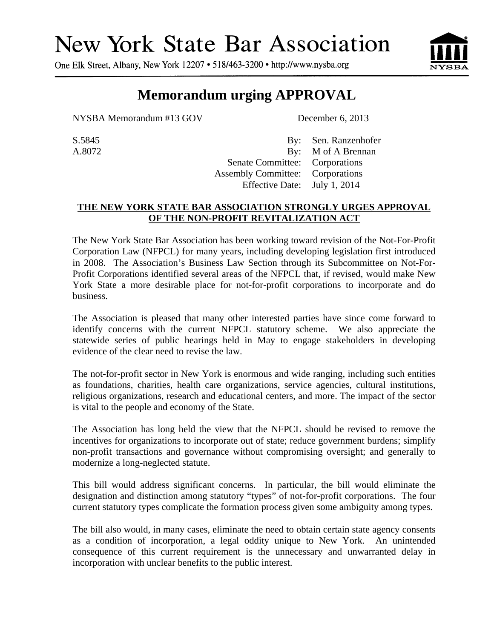## **New York State Bar Association**

One Elk Street, Albany, New York 12207 • 518/463-3200 • http://www.nysba.org



## **Memorandum urging APPROVAL**

NYSBA Memorandum #13 GOV December 6, 2013

S.5845 By: Sen. Ranzenhofer A.8072 By: M of A Brennan Senate Committee: Corporations Assembly Committee: Corporations Effective Date: July 1, 2014

## **THE NEW YORK STATE BAR ASSOCIATION STRONGLY URGES APPROVAL OF THE NON-PROFIT REVITALIZATION ACT**

The New York State Bar Association has been working toward revision of the Not-For-Profit Corporation Law (NFPCL) for many years, including developing legislation first introduced in 2008. The Association's Business Law Section through its Subcommittee on Not-For-Profit Corporations identified several areas of the NFPCL that, if revised, would make New York State a more desirable place for not-for-profit corporations to incorporate and do business.

The Association is pleased that many other interested parties have since come forward to identify concerns with the current NFPCL statutory scheme. We also appreciate the statewide series of public hearings held in May to engage stakeholders in developing evidence of the clear need to revise the law.

The not-for-profit sector in New York is enormous and wide ranging, including such entities as foundations, charities, health care organizations, service agencies, cultural institutions, religious organizations, research and educational centers, and more. The impact of the sector is vital to the people and economy of the State.

The Association has long held the view that the NFPCL should be revised to remove the incentives for organizations to incorporate out of state; reduce government burdens; simplify non-profit transactions and governance without compromising oversight; and generally to modernize a long-neglected statute.

This bill would address significant concerns. In particular, the bill would eliminate the designation and distinction among statutory "types" of not-for-profit corporations. The four current statutory types complicate the formation process given some ambiguity among types.

The bill also would, in many cases, eliminate the need to obtain certain state agency consents as a condition of incorporation, a legal oddity unique to New York. An unintended consequence of this current requirement is the unnecessary and unwarranted delay in incorporation with unclear benefits to the public interest.